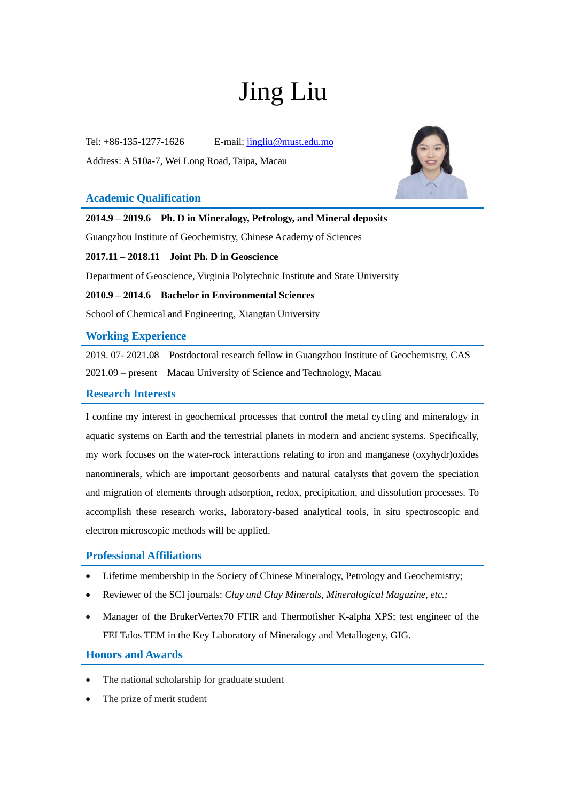# Jing Liu

Tel: +86-135-1277-1626 E-mail: [jingliu@must.edu.mo](mailto:jingliu@must.edu.mo) Address: A 510a-7, Wei Long Road, Taipa, Macau

## **Academic Qualification**



**2014.9 – 2019.6 Ph. D in Mineralogy, Petrology, and Mineral deposits**

Guangzhou Institute of Geochemistry, Chinese Academy of Sciences

**2017.11 – 2018.11 Joint Ph. D in Geoscience**

Department of Geoscience, Virginia Polytechnic Institute and State University

**2010.9 – 2014.6 Bachelor in Environmental Sciences** 

School of Chemical and Engineering, Xiangtan University

## **Working Experience**

2019. 07- 2021.08 Postdoctoral research fellow in Guangzhou Institute of Geochemistry, CAS 2021.09 – present Macau University of Science and Technology, Macau

## **Research Interests**

I confine my interest in geochemical processes that control the metal cycling and mineralogy in aquatic systems on Earth and the terrestrial planets in modern and ancient systems. Specifically, my work focuses on the water-rock interactions relating to iron and manganese (oxyhydr)oxides nanominerals, which are important geosorbents and natural catalysts that govern the speciation and migration of elements through adsorption, redox, precipitation, and dissolution processes. To accomplish these research works, laboratory-based analytical tools, in situ spectroscopic and electron microscopic methods will be applied.

## **Professional Affiliations**

- Lifetime membership in the Society of Chinese Mineralogy, Petrology and Geochemistry;
- Reviewer of the SCI journals: *Clay and Clay Minerals, Mineralogical Magazine, etc.;*
- Manager of the BrukerVertex70 FTIR and Thermofisher K-alpha XPS; test engineer of the FEI Talos TEM in the Key Laboratory of Mineralogy and Metallogeny, GIG.

## **Honors and Awards**

- The national scholarship for graduate student
- The prize of merit student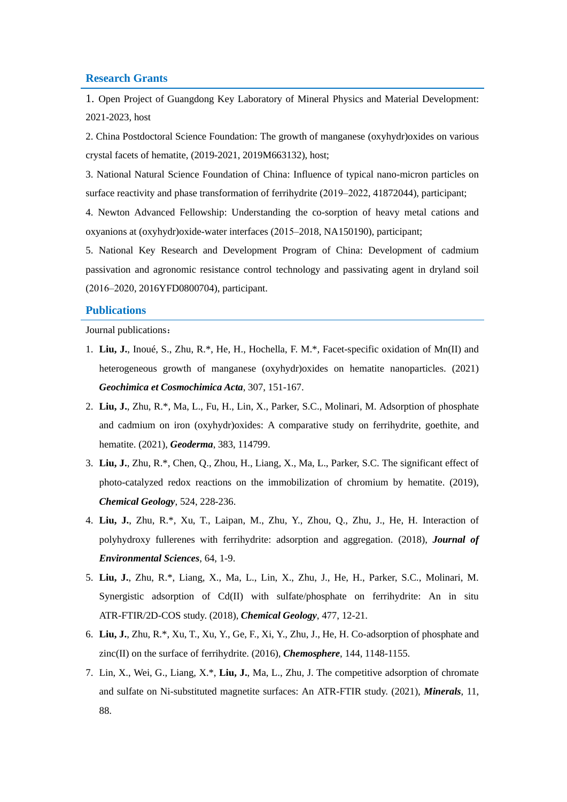#### **Research Grants**

1. Open Project of Guangdong Key Laboratory of Mineral Physics and Material Development: 2021-2023, host

2. China Postdoctoral Science Foundation: The growth of manganese (oxyhydr)oxides on various crystal facets of hematite, (2019-2021, 2019M663132), host;

3. National Natural Science Foundation of China: Influence of typical nano-micron particles on surface reactivity and phase transformation of ferrihydrite (2019–2022, 41872044), participant;

4. Newton Advanced Fellowship: Understanding the co-sorption of heavy metal cations and oxyanions at (oxyhydr)oxide-water interfaces (2015–2018, NA150190), participant;

5. National Key Research and Development Program of China: Development of cadmium passivation and agronomic resistance control technology and passivating agent in dryland soil (2016‒2020, 2016YFD0800704), participant.

#### **Publications**

Journal publications:

- 1. **Liu, J.**, Inoué, S., Zhu, R.\*, He, H., Hochella, F. M.\*, Facet-specific oxidation of Mn(II) and heterogeneous growth of manganese (oxyhydr)oxides on hematite nanoparticles. (2021) *Geochimica et Cosmochimica Acta*, 307, 151-167.
- 2. **Liu, J.**, Zhu, R.\*, Ma, L., Fu, H., Lin, X., Parker, S.C., Molinari, M. Adsorption of phosphate and cadmium on iron (oxyhydr)oxides: A comparative study on ferrihydrite, goethite, and hematite. (2021), *Geoderma*, 383, 114799.
- 3. **Liu, J.**, Zhu, R.\*, Chen, Q., Zhou, H., Liang, X., Ma, L., Parker, S.C. The significant effect of photo-catalyzed redox reactions on the immobilization of chromium by hematite. (2019), *Chemical Geology*, 524, 228-236.
- 4. **Liu, J.**, Zhu, R.\*, Xu, T., Laipan, M., Zhu, Y., Zhou, Q., Zhu, J., He, H. Interaction of polyhydroxy fullerenes with ferrihydrite: adsorption and aggregation. (2018), *Journal of Environmental Sciences*, 64, 1-9.
- 5. **Liu, J.**, Zhu, R.\*, Liang, X., Ma, L., Lin, X., Zhu, J., He, H., Parker, S.C., Molinari, M. Synergistic adsorption of Cd(II) with sulfate/phosphate on ferrihydrite: An in situ ATR-FTIR/2D-COS study. (2018), *Chemical Geology*, 477, 12-21.
- 6. **Liu, J.**, Zhu, R.\*, Xu, T., Xu, Y., Ge, F., Xi, Y., Zhu, J., He, H. Co-adsorption of phosphate and zinc(II) on the surface of ferrihydrite. (2016), *Chemosphere*, 144, 1148-1155.
- 7. Lin, X., Wei, G., Liang, X.\*, **Liu, J.**, Ma, L., Zhu, J. The competitive adsorption of chromate and sulfate on Ni-substituted magnetite surfaces: An ATR-FTIR study. (2021), *Minerals*, 11, 88.